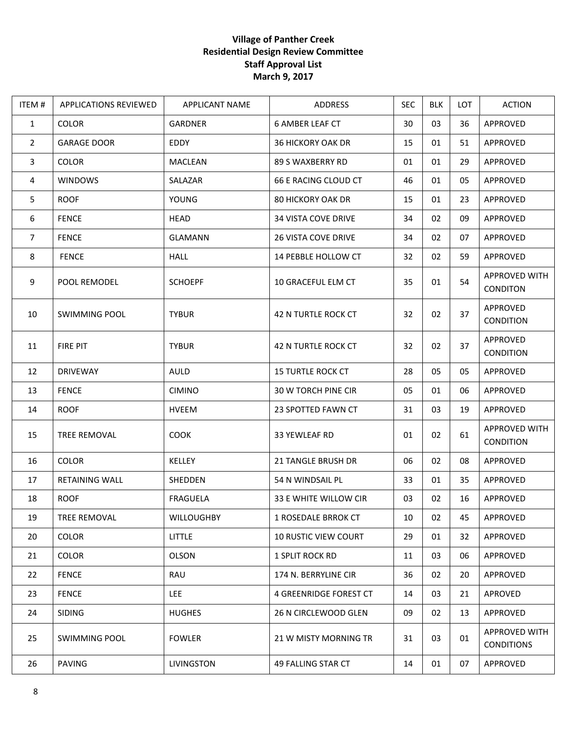## **Village of Panther Creek Residential Design Review Committee Staff Approval List March 9, 2017**

| ITEM #         | <b>APPLICATIONS REVIEWED</b> | <b>APPLICANT NAME</b> | ADDRESS                     | <b>SEC</b> | <b>BLK</b> | <b>LOT</b> | <b>ACTION</b>                             |
|----------------|------------------------------|-----------------------|-----------------------------|------------|------------|------------|-------------------------------------------|
| $\mathbf{1}$   | <b>COLOR</b>                 | <b>GARDNER</b>        | <b>6 AMBER LEAF CT</b>      | 30         | 03         | 36         | APPROVED                                  |
| $\overline{2}$ | <b>GARAGE DOOR</b>           | EDDY                  | <b>36 HICKORY OAK DR</b>    | 15         | 01         | 51         | APPROVED                                  |
| $\mathbf{3}$   | <b>COLOR</b>                 | <b>MACLEAN</b>        | 89 S WAXBERRY RD            | 01         | 01         | 29         | APPROVED                                  |
| $\overline{4}$ | <b>WINDOWS</b>               | SALAZAR               | 66 E RACING CLOUD CT        | 46         | 01         | 05         | APPROVED                                  |
| 5              | <b>ROOF</b>                  | YOUNG                 | <b>80 HICKORY OAK DR</b>    | 15         | 01         | 23         | APPROVED                                  |
| 6              | <b>FENCE</b>                 | <b>HEAD</b>           | <b>34 VISTA COVE DRIVE</b>  | 34         | 02         | 09         | APPROVED                                  |
| 7              | <b>FENCE</b>                 | <b>GLAMANN</b>        | <b>26 VISTA COVE DRIVE</b>  | 34         | 02         | 07         | APPROVED                                  |
| 8              | <b>FENCE</b>                 | <b>HALL</b>           | 14 PEBBLE HOLLOW CT         | 32         | 02         | 59         | APPROVED                                  |
| 9              | POOL REMODEL                 | <b>SCHOEPF</b>        | 10 GRACEFUL ELM CT          | 35         | 01         | 54         | APPROVED WITH<br><b>CONDITON</b>          |
| 10             | <b>SWIMMING POOL</b>         | <b>TYBUR</b>          | 42 N TURTLE ROCK CT         | 32         | 02         | 37         | APPROVED<br><b>CONDITION</b>              |
| 11             | <b>FIRE PIT</b>              | <b>TYBUR</b>          | 42 N TURTLE ROCK CT         | 32         | 02         | 37         | APPROVED<br><b>CONDITION</b>              |
| 12             | <b>DRIVEWAY</b>              | AULD                  | <b>15 TURTLE ROCK CT</b>    | 28         | 05         | 05         | APPROVED                                  |
| 13             | <b>FENCE</b>                 | <b>CIMINO</b>         | 30 W TORCH PINE CIR         | 05         | 01         | 06         | APPROVED                                  |
| 14             | <b>ROOF</b>                  | <b>HVEEM</b>          | 23 SPOTTED FAWN CT          | 31         | 03         | 19         | APPROVED                                  |
| 15             | <b>TREE REMOVAL</b>          | <b>COOK</b>           | 33 YEWLEAF RD               | 01         | 02         | 61         | APPROVED WITH<br><b>CONDITION</b>         |
| 16             | <b>COLOR</b>                 | KELLEY                | 21 TANGLE BRUSH DR          | 06         | 02         | 08         | APPROVED                                  |
| 17             | RETAINING WALL               | SHEDDEN               | 54 N WINDSAIL PL            | 33         | 01         | 35         | APPROVED                                  |
| 18             | <b>ROOF</b>                  | <b>FRAGUELA</b>       | 33 E WHITE WILLOW CIR       | 03         | 02         | 16         | APPROVED                                  |
| 19             | TREE REMOVAL                 | <b>WILLOUGHBY</b>     | 1 ROSEDALE BRROK CT         | 10         | 02         | 45         | APPROVED                                  |
| 20             | <b>COLOR</b>                 | <b>LITTLE</b>         | <b>10 RUSTIC VIEW COURT</b> | 29         | 01         | 32         | APPROVED                                  |
| 21             | <b>COLOR</b>                 | <b>OLSON</b>          | <b>1 SPLIT ROCK RD</b>      | 11         | 03         | 06         | APPROVED                                  |
| 22             | <b>FENCE</b>                 | RAU                   | 174 N. BERRYLINE CIR        | 36         | 02         | 20         | <b>APPROVED</b>                           |
| 23             | <b>FENCE</b>                 | LEE                   | 4 GREENRIDGE FOREST CT      | 14         | 03         | 21         | APROVED                                   |
| 24             | <b>SIDING</b>                | <b>HUGHES</b>         | 26 N CIRCLEWOOD GLEN        | 09         | 02         | 13         | APPROVED                                  |
| 25             | <b>SWIMMING POOL</b>         | <b>FOWLER</b>         | 21 W MISTY MORNING TR       | 31         | 03         | 01         | <b>APPROVED WITH</b><br><b>CONDITIONS</b> |
| 26             | PAVING                       | LIVINGSTON            | 49 FALLING STAR CT          | 14         | 01         | 07         | APPROVED                                  |